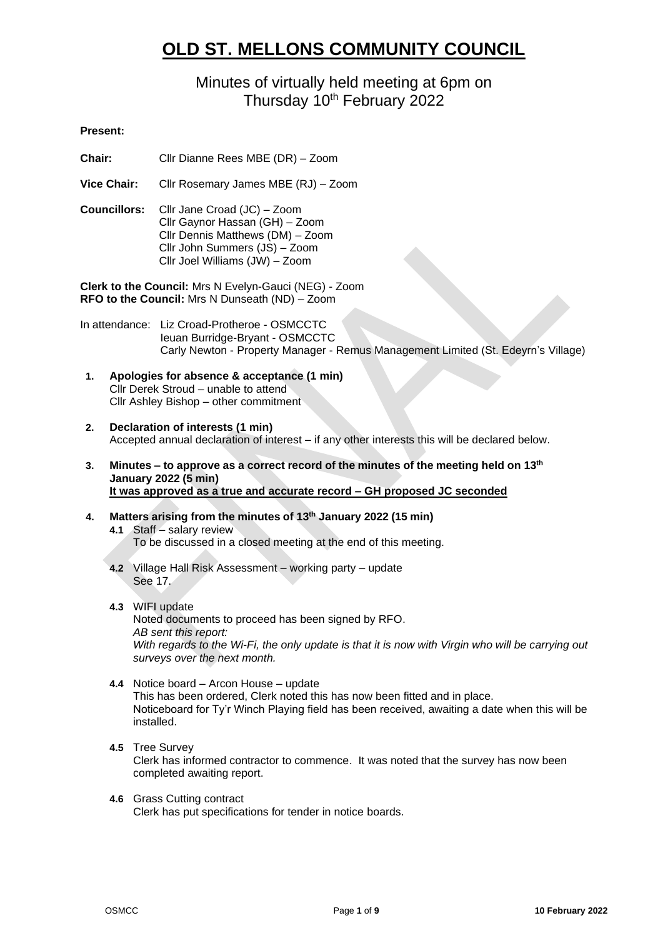# **OLD ST. MELLONS COMMUNITY COUNCIL**

## Minutes of virtually held meeting at 6pm on Thursday 10<sup>th</sup> February 2022

## **Present:**

**Chair:** Cllr Dianne Rees MBE (DR) – Zoom

**Vice Chair:** Cllr Rosemary James MBE (RJ) – Zoom

**Councillors:** Cllr Jane Croad (JC) – Zoom Cllr Gaynor Hassan (GH) – Zoom Cllr Dennis Matthews (DM) – Zoom Cllr John Summers (JS) – Zoom Cllr Joel Williams (JW) – Zoom

**Clerk to the Council:** Mrs N Evelyn-Gauci (NEG) - Zoom **RFO to the Council:** Mrs N Dunseath (ND) – Zoom

In attendance: Liz Croad-Protheroe - OSMCCTC Ieuan Burridge-Bryant - OSMCCTC Carly Newton - Property Manager - Remus Management Limited (St. Edeyrn's Village)

- **1. Apologies for absence & acceptance (1 min)** Cllr Derek Stroud – unable to attend Cllr Ashley Bishop – other commitment
- **2. Declaration of interests (1 min)** Accepted annual declaration of interest – if any other interests this will be declared below.
- **3. Minutes – to approve as a correct record of the minutes of the meeting held on 13th January 2022 (5 min) It was approved as a true and accurate record – GH proposed JC seconded**
- **4. Matters arising from the minutes of 13th January 2022 (15 min) 4.1** Staff – salary review To be discussed in a closed meeting at the end of this meeting.
	- **4.2** Village Hall Risk Assessment working party update See 17.
	- **4.3** WIFI update Noted documents to proceed has been signed by RFO. *AB sent this report: With regards to the Wi-Fi, the only update is that it is now with Virgin who will be carrying out surveys over the next month.*
	- **4.4** Notice board Arcon House update This has been ordered, Clerk noted this has now been fitted and in place. Noticeboard for Ty'r Winch Playing field has been received, awaiting a date when this will be installed.
	- **4.5** Tree Survey Clerk has informed contractor to commence. It was noted that the survey has now been completed awaiting report.
	- **4.6** Grass Cutting contract Clerk has put specifications for tender in notice boards.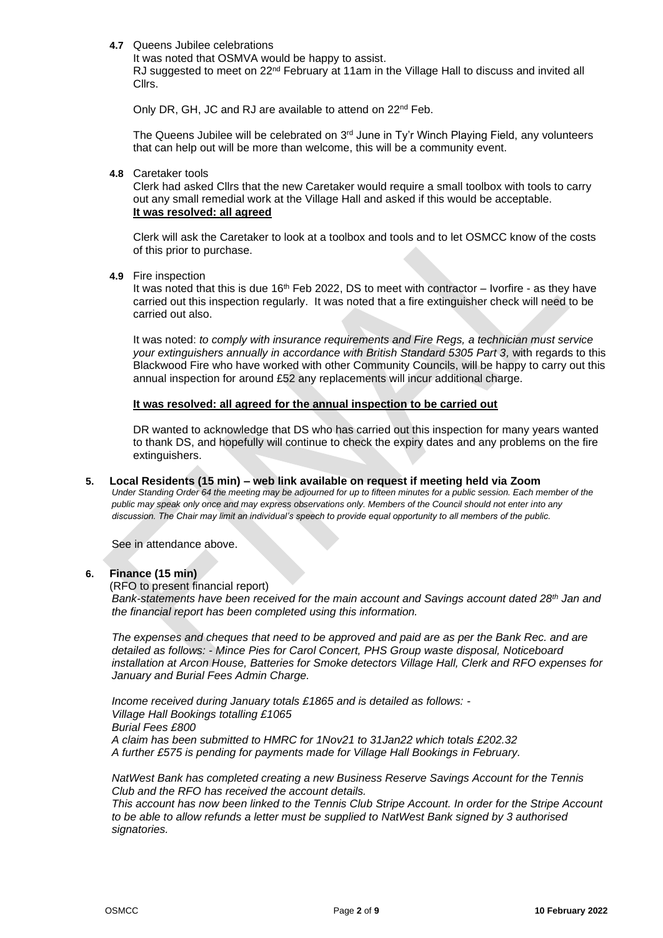#### **4.7** Queens Jubilee celebrations

It was noted that OSMVA would be happy to assist. RJ suggested to meet on 22<sup>nd</sup> February at 11am in the Village Hall to discuss and invited all Cllrs.

Only DR, GH, JC and RJ are available to attend on 22<sup>nd</sup> Feb.

The Queens Jubilee will be celebrated on  $3<sup>rd</sup>$  June in Ty'r Winch Playing Field, any volunteers that can help out will be more than welcome, this will be a community event.

**4.8** Caretaker tools

Clerk had asked Cllrs that the new Caretaker would require a small toolbox with tools to carry out any small remedial work at the Village Hall and asked if this would be acceptable. **It was resolved: all agreed**

Clerk will ask the Caretaker to look at a toolbox and tools and to let OSMCC know of the costs of this prior to purchase.

**4.9** Fire inspection

It was noted that this is due 16<sup>th</sup> Feb 2022, DS to meet with contractor – Ivorfire - as they have carried out this inspection regularly. It was noted that a fire extinguisher check will need to be carried out also.

It was noted: *to comply with insurance requirements and Fire Regs, a technician must service your extinguishers annually in accordance with British Standard 5305 Part 3,* with regards to this Blackwood Fire who have worked with other Community Councils, will be happy to carry out this annual inspection for around £52 any replacements will incur additional charge.

## **It was resolved: all agreed for the annual inspection to be carried out**

DR wanted to acknowledge that DS who has carried out this inspection for many years wanted to thank DS, and hopefully will continue to check the expiry dates and any problems on the fire extinguishers.

## **5. Local Residents (15 min) – web link available on request if meeting held via Zoom**

*Under Standing Order 64 the meeting may be adjourned for up to fifteen minutes for a public session. Each member of the public may speak only once and may express observations only. Members of the Council should not enter into any discussion. The Chair may limit an individual's speech to provide equal opportunity to all members of the public.*

See in attendance above.

## **6. Finance (15 min)**

(RFO to present financial report)

*Bank-statements have been received for the main account and Savings account dated 28th Jan and the financial report has been completed using this information.*

*The expenses and cheques that need to be approved and paid are as per the Bank Rec. and are detailed as follows: - Mince Pies for Carol Concert, PHS Group waste disposal, Noticeboard installation at Arcon House, Batteries for Smoke detectors Village Hall, Clerk and RFO expenses for January and Burial Fees Admin Charge.*

*Income received during January totals £1865 and is detailed as follows: - Village Hall Bookings totalling £1065 Burial Fees £800 A claim has been submitted to HMRC for 1Nov21 to 31Jan22 which totals £202.32 A further £575 is pending for payments made for Village Hall Bookings in February.*

*NatWest Bank has completed creating a new Business Reserve Savings Account for the Tennis Club and the RFO has received the account details.*

*This account has now been linked to the Tennis Club Stripe Account. In order for the Stripe Account to be able to allow refunds a letter must be supplied to NatWest Bank signed by 3 authorised signatories.*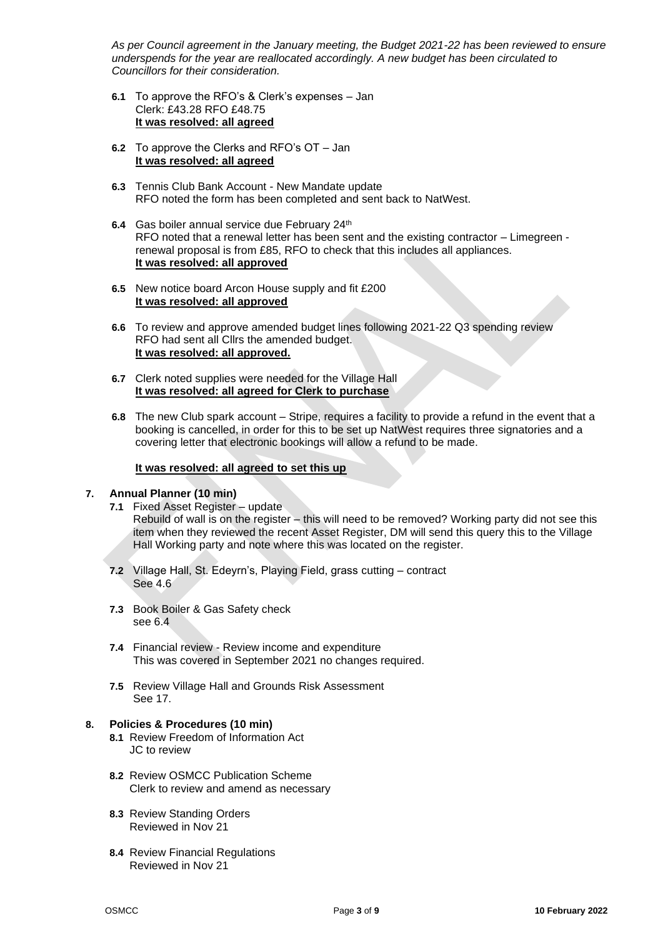*As per Council agreement in the January meeting, the Budget 2021-22 has been reviewed to ensure underspends for the year are reallocated accordingly. A new budget has been circulated to Councillors for their consideration.*

- **6.1** To approve the RFO's & Clerk's expenses Jan Clerk: £43.28 RFO £48.75 **It was resolved: all agreed**
- **6.2** To approve the Clerks and RFO's OT Jan **It was resolved: all agreed**
- **6.3** Tennis Club Bank Account New Mandate update RFO noted the form has been completed and sent back to NatWest.
- **6.4** Gas boiler annual service due February 24th RFO noted that a renewal letter has been sent and the existing contractor – Limegreen renewal proposal is from £85, RFO to check that this includes all appliances. **It was resolved: all approved**
- **6.5** New notice board Arcon House supply and fit £200 **It was resolved: all approved**
- **6.6** To review and approve amended budget lines following 2021-22 Q3 spending review RFO had sent all Cllrs the amended budget. **It was resolved: all approved.**
- **6.7** Clerk noted supplies were needed for the Village Hall **It was resolved: all agreed for Clerk to purchase**
- **6.8** The new Club spark account Stripe, requires a facility to provide a refund in the event that a booking is cancelled, in order for this to be set up NatWest requires three signatories and a covering letter that electronic bookings will allow a refund to be made.

## **It was resolved: all agreed to set this up**

## **7. Annual Planner (10 min)**

**7.1** Fixed Asset Register – update

Rebuild of wall is on the register – this will need to be removed? Working party did not see this item when they reviewed the recent Asset Register, DM will send this query this to the Village Hall Working party and note where this was located on the register.

- **7.2** Village Hall, St. Edeyrn's, Playing Field, grass cutting contract See 4.6
- **7.3** Book Boiler & Gas Safety check see 6.4
- **7.4** Financial review Review income and expenditure This was covered in September 2021 no changes required.
- **7.5** Review Village Hall and Grounds Risk Assessment See 17.

## **8. Policies & Procedures (10 min)**

- **8.1** Review Freedom of Information Act JC to review
- **8.2** Review OSMCC Publication Scheme Clerk to review and amend as necessary
- **8.3** Review Standing Orders Reviewed in Nov 21
- **8.4** Review Financial Regulations Reviewed in Nov 21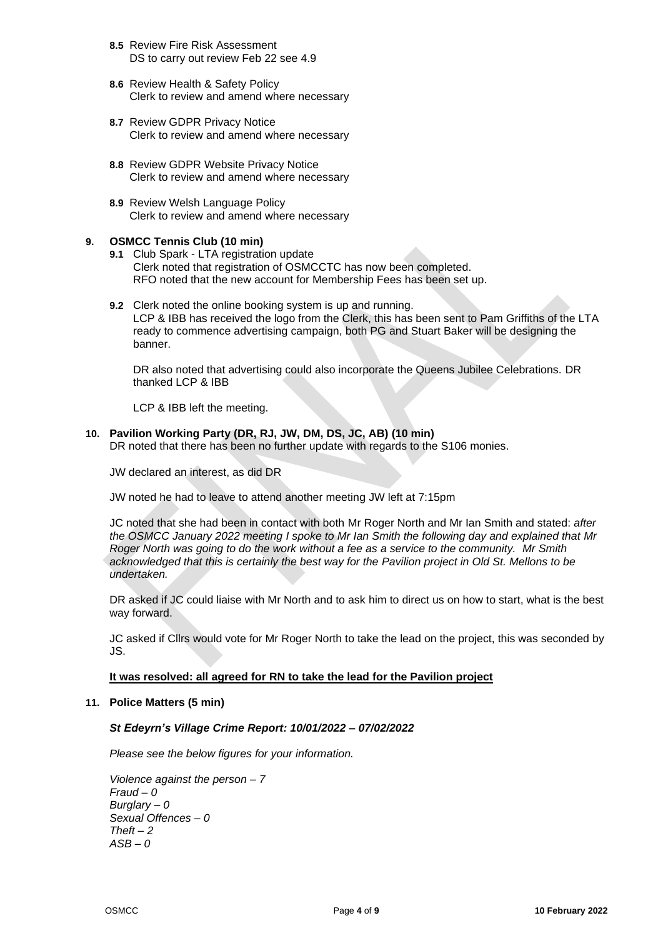- **8.5** Review Fire Risk Assessment DS to carry out review Feb 22 see 4.9
- **8.6** Review Health & Safety Policy Clerk to review and amend where necessary
- **8.7** Review GDPR Privacy Notice Clerk to review and amend where necessary
- **8.8** Review GDPR Website Privacy Notice Clerk to review and amend where necessary
- **8.9** Review Welsh Language Policy Clerk to review and amend where necessary

## **9. OSMCC Tennis Club (10 min)**

- **9.1** Club Spark LTA registration update Clerk noted that registration of OSMCCTC has now been completed. RFO noted that the new account for Membership Fees has been set up.
- **9.2** Clerk noted the online booking system is up and running. LCP & IBB has received the logo from the Clerk, this has been sent to Pam Griffiths of the LTA ready to commence advertising campaign, both PG and Stuart Baker will be designing the banner.

DR also noted that advertising could also incorporate the Queens Jubilee Celebrations. DR thanked LCP & IBB

LCP & IBB left the meeting.

**10. Pavilion Working Party (DR, RJ, JW, DM, DS, JC, AB) (10 min)** DR noted that there has been no further update with regards to the S106 monies.

JW declared an interest, as did DR

JW noted he had to leave to attend another meeting JW left at 7:15pm

JC noted that she had been in contact with both Mr Roger North and Mr Ian Smith and stated: *after the OSMCC January 2022 meeting I spoke to Mr Ian Smith the following day and explained that Mr Roger North was going to do the work without a fee as a service to the community. Mr Smith acknowledged that this is certainly the best way for the Pavilion project in Old St. Mellons to be undertaken.*

DR asked if JC could liaise with Mr North and to ask him to direct us on how to start, what is the best way forward.

JC asked if Cllrs would vote for Mr Roger North to take the lead on the project, this was seconded by JS.

#### **It was resolved: all agreed for RN to take the lead for the Pavilion project**

#### **11. Police Matters (5 min)**

#### *St Edeyrn's Village Crime Report: 10/01/2022 – 07/02/2022*

*Please see the below figures for your information.*

*Violence against the person – 7 Fraud – 0 Burglary – 0 Sexual Offences – 0 Theft – 2 ASB – 0*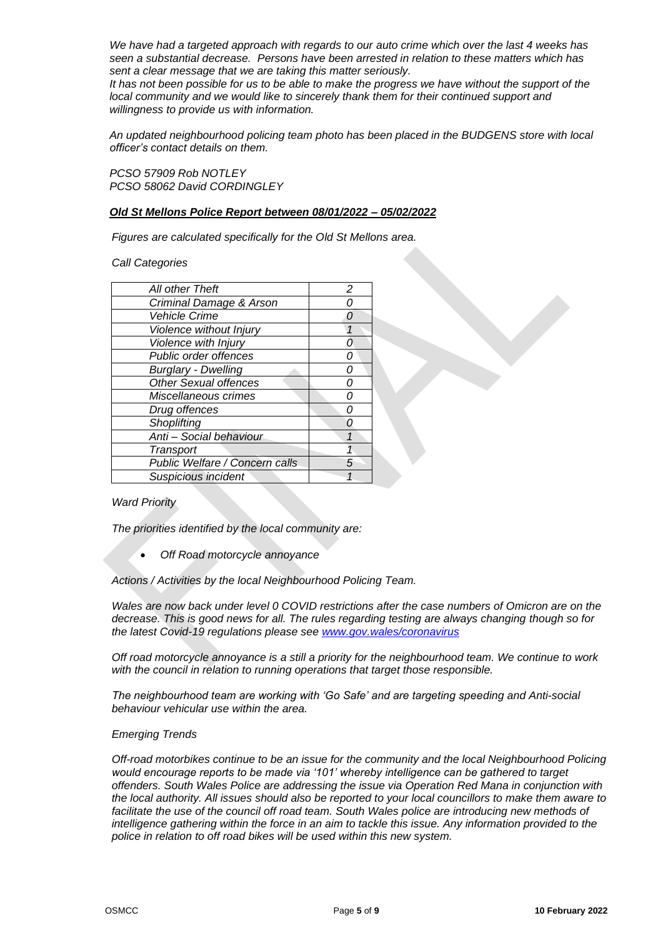*We have had a targeted approach with regards to our auto crime which over the last 4 weeks has seen a substantial decrease. Persons have been arrested in relation to these matters which has sent a clear message that we are taking this matter seriously.* 

It has not been possible for us to be able to make the progress we have without the support of the *local community and we would like to sincerely thank them for their continued support and willingness to provide us with information.*

*An updated neighbourhood policing team photo has been placed in the BUDGENS store with local officer's contact details on them.* 

*PCSO 57909 Rob NOTLEY PCSO 58062 David CORDINGLEY*

#### *Old St Mellons Police Report between 08/01/2022 – 05/02/2022*

*Figures are calculated specifically for the Old St Mellons area.*

*Call Categories*

| All other Theft                | 2 |
|--------------------------------|---|
| Criminal Damage & Arson        |   |
| <b>Vehicle Crime</b>           |   |
| Violence without Injury        |   |
| Violence with Injury           |   |
| Public order offences          |   |
| <b>Burglary - Dwelling</b>     |   |
| <b>Other Sexual offences</b>   |   |
| Miscellaneous crimes           |   |
| Drug offences                  |   |
| Shoplifting                    |   |
| Anti - Social behaviour        |   |
| Transport                      |   |
| Public Welfare / Concern calls |   |
| Suspicious incident            |   |

#### *Ward Priority*

*The priorities identified by the local community are:*

• *Off Road motorcycle annoyance*

*Actions / Activities by the local Neighbourhood Policing Team.*

*Wales are now back under level 0 COVID restrictions after the case numbers of Omicron are on the decrease. This is good news for all. The rules regarding testing are always changing though so for the latest Covid-19 regulations please see [www.gov.wales/coronavirus](http://www.gov.wales/coronavirus)*

*Off road motorcycle annoyance is a still a priority for the neighbourhood team. We continue to work*  with the council in relation to running operations that target those responsible.

*The neighbourhood team are working with 'Go Safe' and are targeting speeding and Anti-social behaviour vehicular use within the area.* 

#### *Emerging Trends*

*Off-road motorbikes continue to be an issue for the community and the local Neighbourhood Policing would encourage reports to be made via '101' whereby intelligence can be gathered to target offenders. South Wales Police are addressing the issue via Operation Red Mana in conjunction with the local authority. All issues should also be reported to your local councillors to make them aware to*  facilitate the use of the council off road team. South Wales police are introducing new methods of *intelligence gathering within the force in an aim to tackle this issue. Any information provided to the police in relation to off road bikes will be used within this new system.*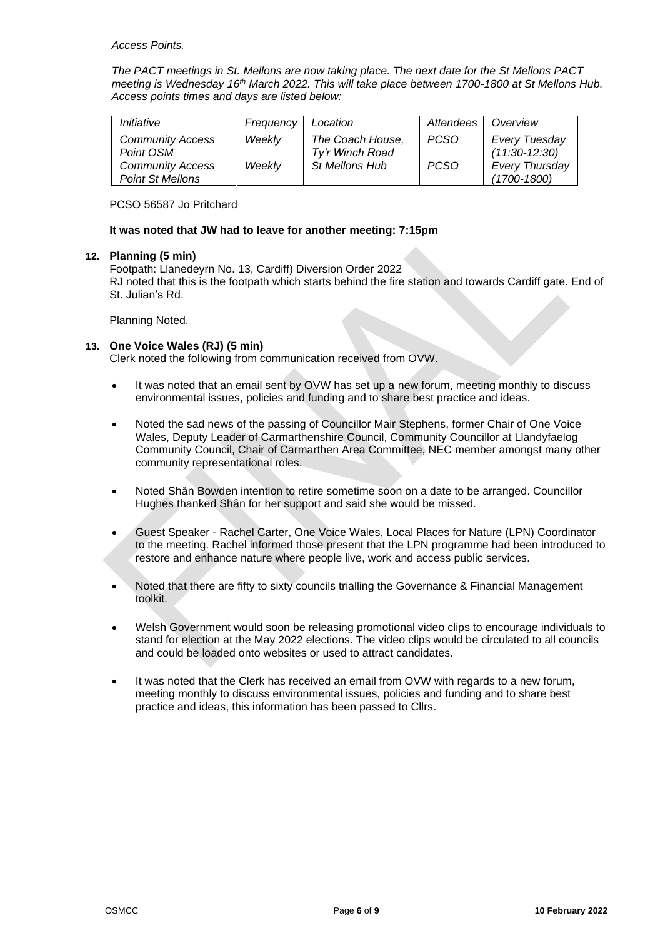*Access Points.* 

*The PACT meetings in St. Mellons are now taking place. The next date for the St Mellons PACT meeting is Wednesday 16th March 2022. This will take place between 1700-1800 at St Mellons Hub. Access points times and days are listed below:*

| Initiative                                         | Frequency | Location                            | Attendees   | Overview                          |
|----------------------------------------------------|-----------|-------------------------------------|-------------|-----------------------------------|
| <b>Community Access</b><br>Point OSM               | Weekly    | The Coach House,<br>Ty'r Winch Road | <b>PCSO</b> | Every Tuesday<br>$(11:30-12:30)$  |
| <b>Community Access</b><br><b>Point St Mellons</b> | Weekly    | <b>St Mellons Hub</b>               | <b>PCSO</b> | Every Thursday<br>$(1700 - 1800)$ |

PCSO 56587 Jo Pritchard

## **It was noted that JW had to leave for another meeting: 7:15pm**

## **12. Planning (5 min)**

Footpath: Llanedeyrn No. 13, Cardiff) Diversion Order 2022 RJ noted that this is the footpath which starts behind the fire station and towards Cardiff gate. End of St. Julian's Rd.

Planning Noted.

## **13. One Voice Wales (RJ) (5 min)**

Clerk noted the following from communication received from OVW.

- It was noted that an email sent by OVW has set up a new forum, meeting monthly to discuss environmental issues, policies and funding and to share best practice and ideas.
- Noted the sad news of the passing of Councillor Mair Stephens, former Chair of One Voice Wales, Deputy Leader of Carmarthenshire Council, Community Councillor at Llandyfaelog Community Council, Chair of Carmarthen Area Committee, NEC member amongst many other community representational roles.
- Noted Shân Bowden intention to retire sometime soon on a date to be arranged. Councillor Hughes thanked Shân for her support and said she would be missed.
- Guest Speaker Rachel Carter, One Voice Wales, Local Places for Nature (LPN) Coordinator to the meeting. Rachel informed those present that the LPN programme had been introduced to restore and enhance nature where people live, work and access public services.
- Noted that there are fifty to sixty councils trialling the Governance & Financial Management toolkit.
- Welsh Government would soon be releasing promotional video clips to encourage individuals to stand for election at the May 2022 elections. The video clips would be circulated to all councils and could be loaded onto websites or used to attract candidates.
- It was noted that the Clerk has received an email from OVW with regards to a new forum, meeting monthly to discuss environmental issues, policies and funding and to share best practice and ideas, this information has been passed to Cllrs.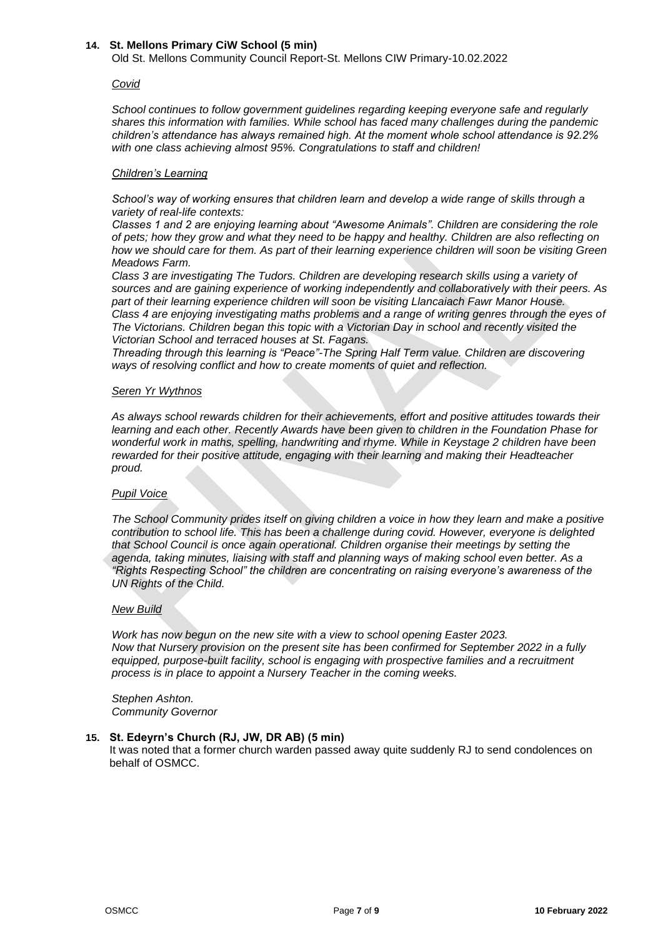#### **14. St. Mellons Primary CiW School (5 min)**

Old St. Mellons Community Council Report-St. Mellons CIW Primary-10.02.2022

#### *Covid*

*School continues to follow government guidelines regarding keeping everyone safe and regularly shares this information with families. While school has faced many challenges during the pandemic children's attendance has always remained high. At the moment whole school attendance is 92.2% with one class achieving almost 95%. Congratulations to staff and children!*

#### *Children's Learning*

*School's way of working ensures that children learn and develop a wide range of skills through a variety of real-life contexts:*

*Classes 1 and 2 are enjoying learning about "Awesome Animals". Children are considering the role of pets; how they grow and what they need to be happy and healthy. Children are also reflecting on how we should care for them. As part of their learning experience children will soon be visiting Green Meadows Farm.*

*Class 3 are investigating The Tudors. Children are developing research skills using a variety of sources and are gaining experience of working independently and collaboratively with their peers. As part of their learning experience children will soon be visiting Llancaiach Fawr Manor House. Class 4 are enjoying investigating maths problems and a range of writing genres through the eyes of The Victorians. Children began this topic with a Victorian Day in school and recently visited the Victorian School and terraced houses at St. Fagans.*

*Threading through this learning is "Peace"-The Spring Half Term value. Children are discovering ways of resolving conflict and how to create moments of quiet and reflection.*

#### *Seren Yr Wythnos*

*As always school rewards children for their achievements, effort and positive attitudes towards their learning and each other. Recently Awards have been given to children in the Foundation Phase for wonderful work in maths, spelling, handwriting and rhyme. While in Keystage 2 children have been rewarded for their positive attitude, engaging with their learning and making their Headteacher proud.*

#### *Pupil Voice*

*The School Community prides itself on giving children a voice in how they learn and make a positive contribution to school life. This has been a challenge during covid. However, everyone is delighted that School Council is once again operational. Children organise their meetings by setting the agenda, taking minutes, liaising with staff and planning ways of making school even better. As a "Rights Respecting School" the children are concentrating on raising everyone's awareness of the UN Rights of the Child.*

#### *New Build*

*Work has now begun on the new site with a view to school opening Easter 2023. Now that Nursery provision on the present site has been confirmed for September 2022 in a fully equipped, purpose-built facility, school is engaging with prospective families and a recruitment process is in place to appoint a Nursery Teacher in the coming weeks.*

*Stephen Ashton. Community Governor*

## **15. St. Edeyrn's Church (RJ, JW, DR AB) (5 min)**

It was noted that a former church warden passed away quite suddenly RJ to send condolences on behalf of OSMCC.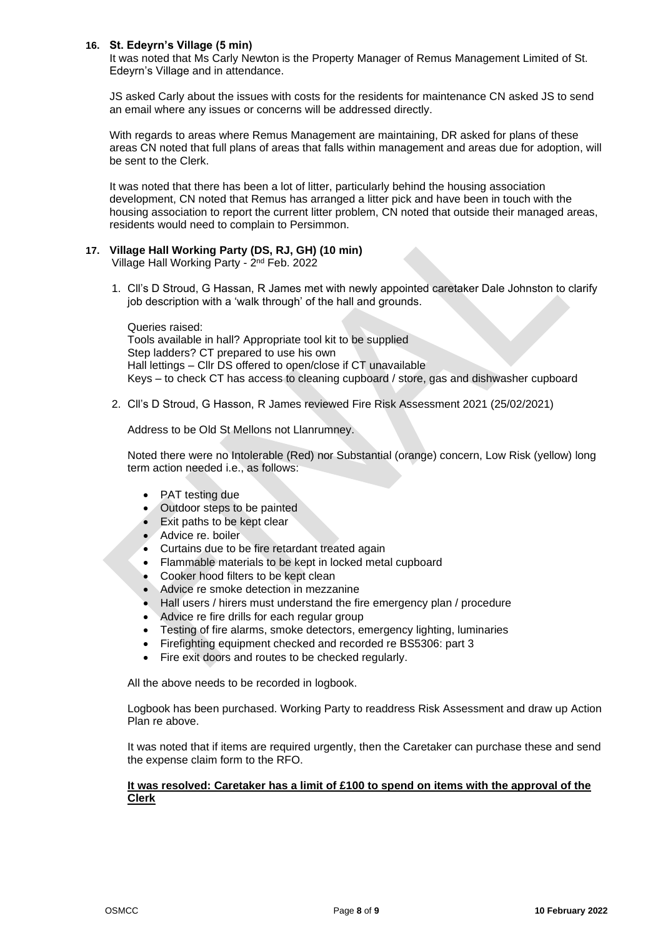## **16. St. Edeyrn's Village (5 min)**

It was noted that Ms Carly Newton is the Property Manager of Remus Management Limited of St. Edeyrn's Village and in attendance.

JS asked Carly about the issues with costs for the residents for maintenance CN asked JS to send an email where any issues or concerns will be addressed directly.

With regards to areas where Remus Management are maintaining, DR asked for plans of these areas CN noted that full plans of areas that falls within management and areas due for adoption, will be sent to the Clerk.

It was noted that there has been a lot of litter, particularly behind the housing association development, CN noted that Remus has arranged a litter pick and have been in touch with the housing association to report the current litter problem, CN noted that outside their managed areas, residents would need to complain to Persimmon.

## **17. Village Hall Working Party (DS, RJ, GH) (10 min)**

Village Hall Working Party - 2<sup>nd</sup> Feb. 2022

1. Cll's D Stroud, G Hassan, R James met with newly appointed caretaker Dale Johnston to clarify job description with a 'walk through' of the hall and grounds.

Queries raised: Tools available in hall? Appropriate tool kit to be supplied Step ladders? CT prepared to use his own Hall lettings – Cllr DS offered to open/close if CT unavailable Keys – to check CT has access to cleaning cupboard / store, gas and dishwasher cupboard

2. Cll's D Stroud, G Hasson, R James reviewed Fire Risk Assessment 2021 (25/02/2021)

Address to be Old St Mellons not Llanrumney.

Noted there were no Intolerable (Red) nor Substantial (orange) concern, Low Risk (yellow) long term action needed i.e., as follows:

- PAT testing due
- Outdoor steps to be painted
- Exit paths to be kept clear
- Advice re. boiler
- Curtains due to be fire retardant treated again
- Flammable materials to be kept in locked metal cupboard
- Cooker hood filters to be kept clean
- Advice re smoke detection in mezzanine
- Hall users / hirers must understand the fire emergency plan / procedure
- Advice re fire drills for each regular group
- Testing of fire alarms, smoke detectors, emergency lighting, luminaries
- Firefighting equipment checked and recorded re BS5306: part 3
- Fire exit doors and routes to be checked regularly.

All the above needs to be recorded in logbook.

Logbook has been purchased. Working Party to readdress Risk Assessment and draw up Action Plan re above.

It was noted that if items are required urgently, then the Caretaker can purchase these and send the expense claim form to the RFO.

#### **It was resolved: Caretaker has a limit of £100 to spend on items with the approval of the Clerk**